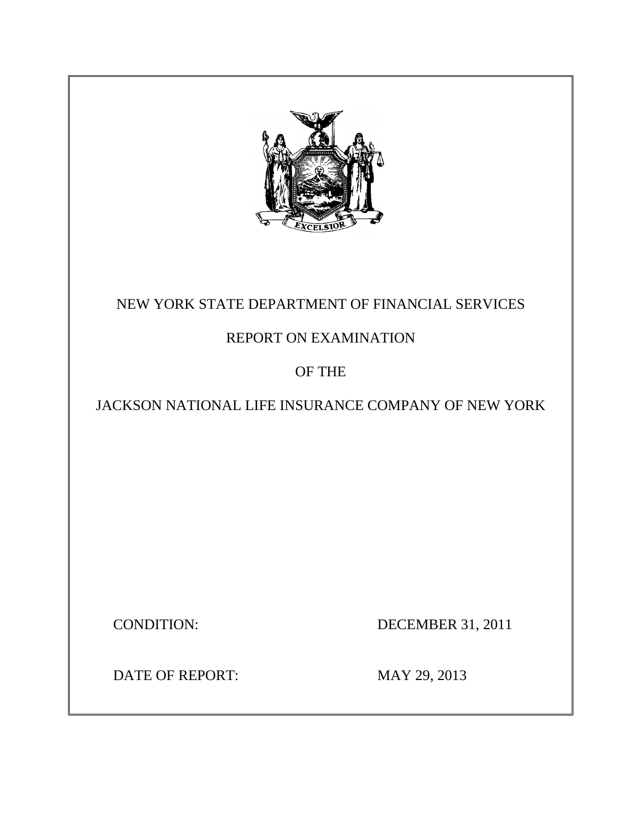

## NEW YORK STATE DEPARTMENT OF FINANCIAL SERVICES

## REPORT ON EXAMINATION

## OF THE

## JACKSON NATIONAL LIFE INSURANCE COMPANY OF NEW YORK

**CONDITION:** 

DECEMBER 31, 2011

DATE OF REPORT: MAY 29, 2013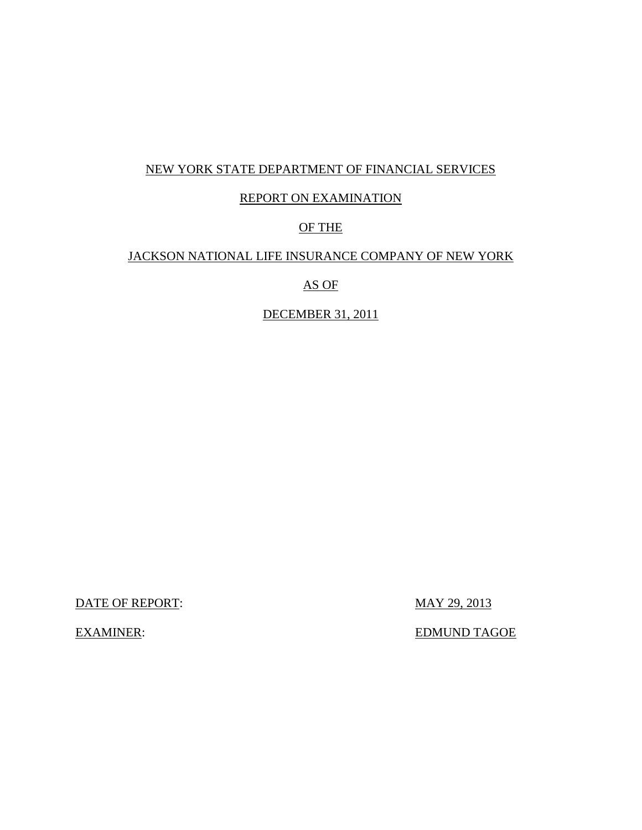## NEW YORK STATE DEPARTMENT OF FINANCIAL SERVICES

## REPORT ON EXAMINATION

## OF THE

## JACKSON NATIONAL LIFE INSURANCE COMPANY OF NEW YORK

## AS OF

## DECEMBER 31, 2011

DATE OF REPORT: MAY 29, 2013

**EXAMINER:** 

EDMUND TAGOE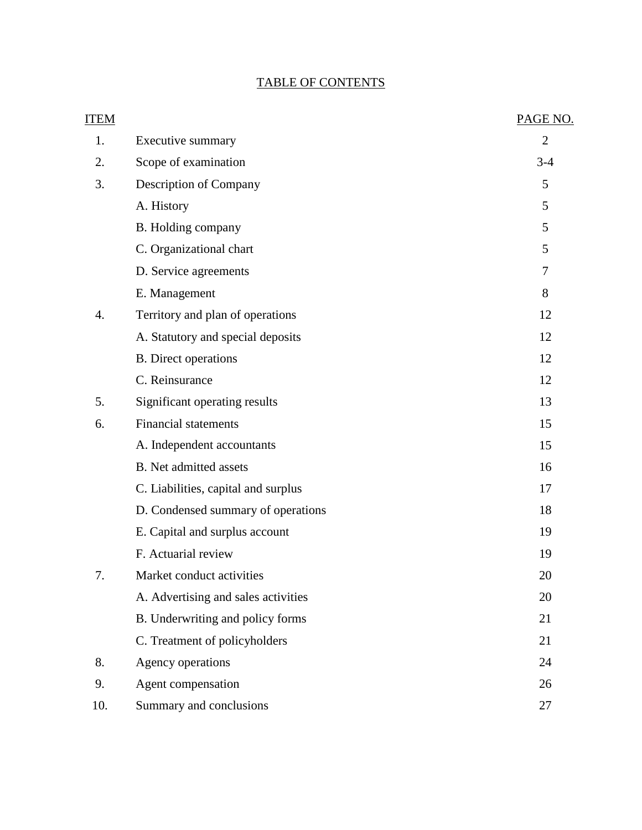## TABLE OF CONTENTS

| <b>ITEM</b> |                                     | PAGE NO.       |
|-------------|-------------------------------------|----------------|
| 1.          | Executive summary                   | $\overline{2}$ |
| 2.          | Scope of examination                | $3-4$          |
| 3.          | <b>Description of Company</b>       | 5              |
|             | A. History                          | 5              |
|             | B. Holding company                  | 5              |
|             | C. Organizational chart             | 5              |
|             | D. Service agreements               | 7              |
|             | E. Management                       | 8              |
| 4.          | Territory and plan of operations    | 12             |
|             | A. Statutory and special deposits   | 12             |
|             | <b>B.</b> Direct operations         | 12             |
|             | C. Reinsurance                      | 12             |
| 5.          | Significant operating results       | 13             |
| 6.          | <b>Financial statements</b>         | 15             |
|             | A. Independent accountants          | 15             |
|             | <b>B.</b> Net admitted assets       | 16             |
|             | C. Liabilities, capital and surplus | 17             |
|             | D. Condensed summary of operations  | 18             |
|             | E. Capital and surplus account      | 19             |
|             | F. Actuarial review                 | 19             |
| 7.          | Market conduct activities           | 20             |
|             | A. Advertising and sales activities | 20             |
|             | B. Underwriting and policy forms    | 21             |
|             | C. Treatment of policyholders       | 21             |
| 8.          | Agency operations                   | 24             |
| 9.          | Agent compensation                  | 26             |
| 10.         | Summary and conclusions             | 27             |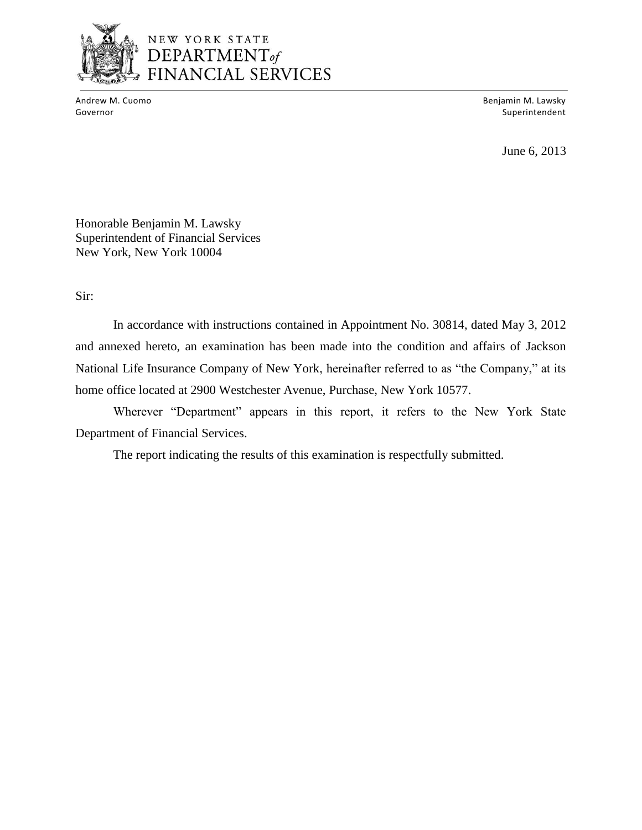

# NEW YORK STATE **DEPARTMENT** of<br>FINANCIAL SERVICES

Andrew M. Cuomo

Benjamin M. Lawsky Governor Superintendent and Superintendent and Superintendent and Superintendent and Superintendent and Superintendent and Superintendent and Superintendent and Superintendent and Superintendent and Superintendent and Supe

June 6, 2013

Honorable Benjamin M. Lawsky Superintendent of Financial Services New York, New York 10004

Sir:

 and annexed hereto, an examination has been made into the condition and affairs of Jackson National Life Insurance Company of New York, hereinafter referred to as "the Company," at its In accordance with instructions contained in Appointment No. 30814, dated May 3, 2012 home office located at 2900 Westchester Avenue, Purchase, New York 10577.

Wherever "Department" appears in this report, it refers to the New York State Department of Financial Services.

The report indicating the results of this examination is respectfully submitted.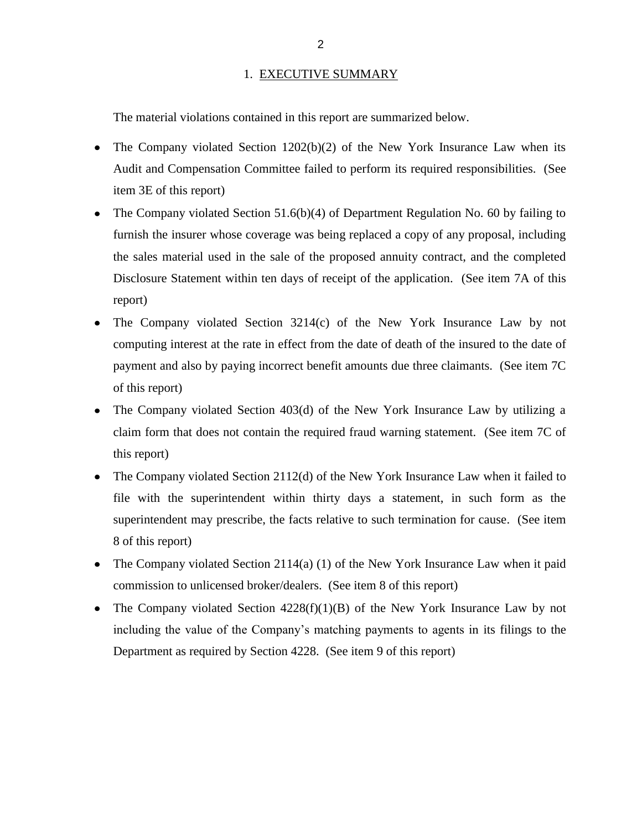#### 1. EXECUTIVE SUMMARY

<span id="page-4-0"></span>The material violations contained in this report are summarized below.

- The Company violated Section 1202(b)(2) of the New York Insurance Law when its Audit and Compensation Committee failed to perform its required responsibilities. (See item 3E of this report)
- The Company violated Section 51.6(b)(4) of Department Regulation No. 60 by failing to furnish the insurer whose coverage was being replaced a copy of any proposal, including Disclosure Statement within ten days of receipt of the application. (See item 7A of this the sales material used in the sale of the proposed annuity contract, and the completed report)
- The Company violated Section 3214(c) of the New York Insurance Law by not computing interest at the rate in effect from the date of death of the insured to the date of payment and also by paying incorrect benefit amounts due three claimants. (See item 7C of this report)
- The Company violated Section 403(d) of the New York Insurance Law by utilizing a  $\bullet$  claim form that does not contain the required fraud warning statement. (See item 7C of this report)
- The Company violated Section 2112(d) of the New York Insurance Law when it failed to  $\bullet$  file with the superintendent within thirty days a statement, in such form as the superintendent may prescribe, the facts relative to such termination for cause. (See item 8 of this report)
- 8 of this report)<br>The Company violated Section 2114(a) (1) of the New York Insurance Law when it paid commission to unlicensed broker/dealers. (See item 8 of this report)
- The Company violated Section 4228(f)(1)(B) of the New York Insurance Law by not including the value of the Company"s matching payments to agents in its filings to the Department as required by Section 4228. (See item 9 of this report)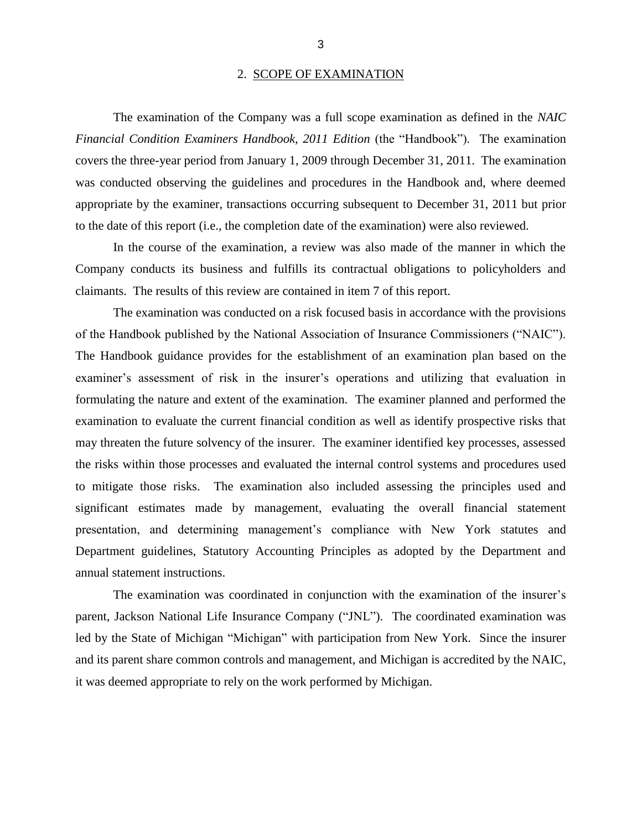#### 2. SCOPE OF EXAMINATION

 *Financial Condition Examiners Handbook, 2011 Edition* (the "Handbook")*.* The examination covers the three-year period from January 1, 2009 through December 31, 2011. The examination was conducted observing the guidelines and procedures in the Handbook and, where deemed appropriate by the examiner, transactions occurring subsequent to December 31, 2011 but prior The examination of the Company was a full scope examination as defined in the *NAIC*  to the date of this report (i.e., the completion date of the examination) were also reviewed.

 In the course of the examination, a review was also made of the manner in which the Company conducts its business and fulfills its contractual obligations to policyholders and claimants. The results of this review are contained in item 7 of this report.

 of the Handbook published by the National Association of Insurance Commissioners ("NAIC"). examiner's assessment of risk in the insurer's operations and utilizing that evaluation in formulating the nature and extent of the examination. The examiner planned and performed the examination to evaluate the current financial condition as well as identify prospective risks that may threaten the future solvency of the insurer. The examiner identified key processes, assessed to mitigate those risks. The examination also included assessing the principles used and significant estimates made by management, evaluating the overall financial statement Department guidelines, Statutory Accounting Principles as adopted by the Department and The examination was conducted on a risk focused basis in accordance with the provisions The Handbook guidance provides for the establishment of an examination plan based on the the risks within those processes and evaluated the internal control systems and procedures used presentation, and determining management's compliance with New York statutes and annual statement instructions.

 parent, Jackson National Life Insurance Company ("JNL"). The coordinated examination was led by the State of Michigan "Michigan" with participation from New York. Since the insurer it was deemed appropriate to rely on the work performed by Michigan. The examination was coordinated in conjunction with the examination of the insurer"s and its parent share common controls and management, and Michigan is accredited by the NAIC,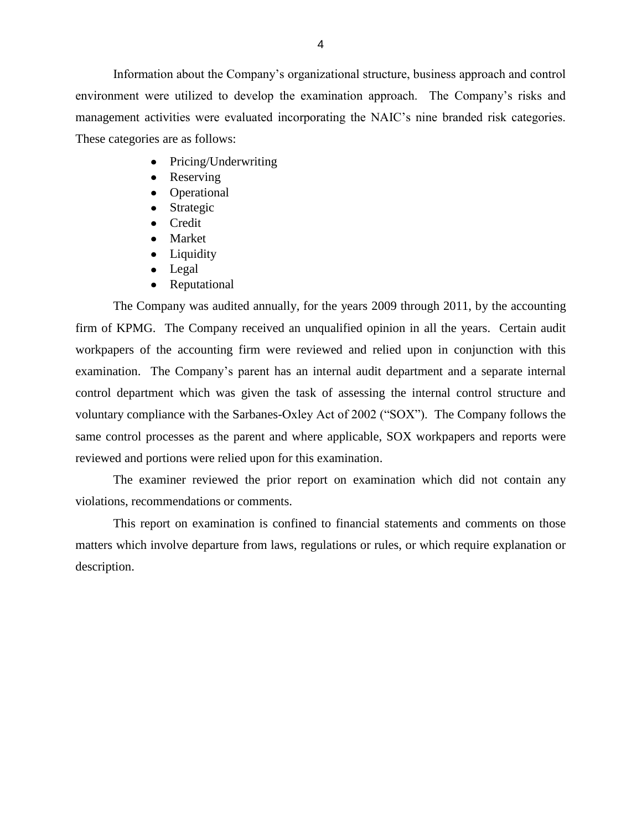environment were utilized to develop the examination approach. The Company"s risks and management activities were evaluated incorporating the NAIC"s nine branded risk categories. These categories are as follows: Information about the Company"s organizational structure, business approach and control

- Pricing/Underwriting  $\bullet$
- Reserving
- Operational
- Strategic  $\bullet$
- Credit
- Market
- Liquidity
- Legal
- Reputational  $\bullet$

 The Company was audited annually, for the years 2009 through 2011, by the accounting firm of KPMG. The Company received an unqualified opinion in all the years. Certain audit workpapers of the accounting firm were reviewed and relied upon in conjunction with this examination. The Company's parent has an internal audit department and a separate internal control department which was given the task of assessing the internal control structure and voluntary compliance with the Sarbanes-Oxley Act of 2002 ("SOX"). The Company follows the same control processes as the parent and where applicable, SOX workpapers and reports were reviewed and portions were relied upon for this examination.

The examiner reviewed the prior report on examination which did not contain any violations, recommendations or comments.

 matters which involve departure from laws, regulations or rules, or which require explanation or This report on examination is confined to financial statements and comments on those description.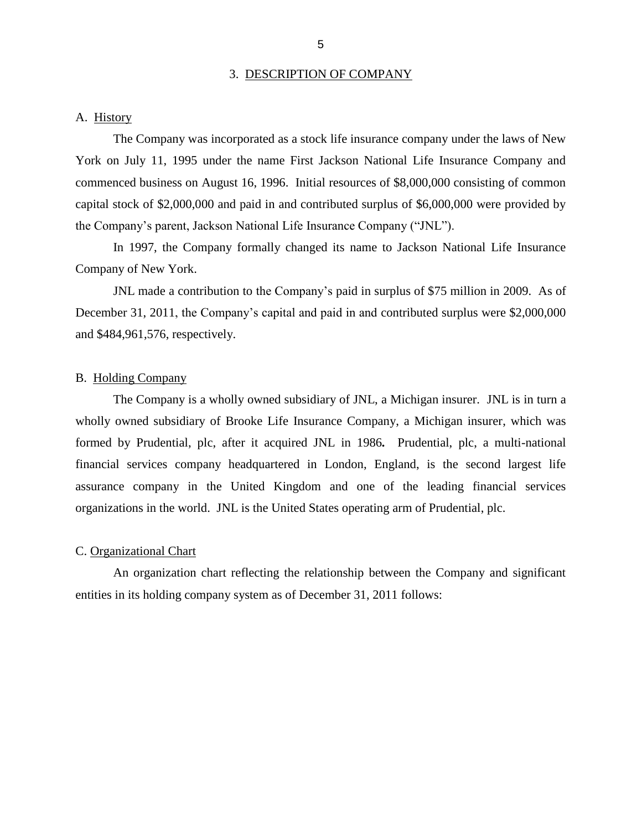#### 3. DESCRIPTION OF COMPANY

#### <span id="page-7-0"></span>A. History

 The Company was incorporated as a stock life insurance company under the laws of New York on July 11, 1995 under the name First Jackson National Life Insurance Company and commenced business on August 16, 1996. Initial resources of \$8,000,000 consisting of common capital stock of \$2,000,000 and paid in and contributed surplus of \$6,000,000 were provided by the Company"s parent, Jackson National Life Insurance Company ("JNL").

 In 1997, the Company formally changed its name to Jackson National Life Insurance Company of New York.

 JNL made a contribution to the Company"s paid in surplus of \$75 million in 2009. As of December 31, 2011, the Company's capital and paid in and contributed surplus were \$2,000,000 and \$484,961,576, respectively.

#### B. Holding Company

 The Company is a wholly owned subsidiary of JNL, a Michigan insurer. JNL is in turn a wholly owned subsidiary of Brooke Life Insurance Company, a Michigan insurer, which was formed by Prudential, plc, after it acquired JNL in 1986*.* Prudential, plc, a multi-national assurance company in the United Kingdom and one of the leading financial services financial services company headquartered in London, England, is the second largest life organizations in the world. JNL is the United States operating arm of Prudential, plc.

#### C. Organizational Chart

 An organization chart reflecting the relationship between the Company and significant entities in its holding company system as of December 31, 2011 follows: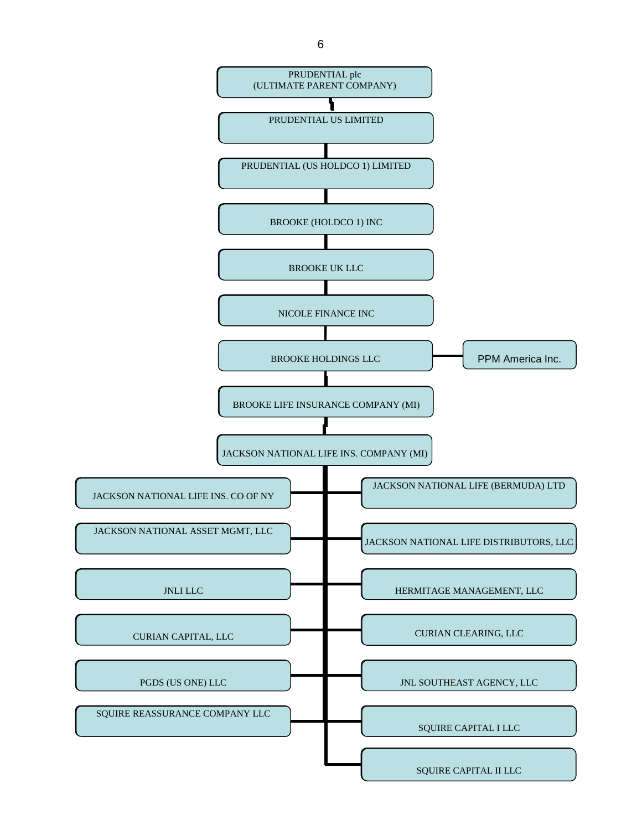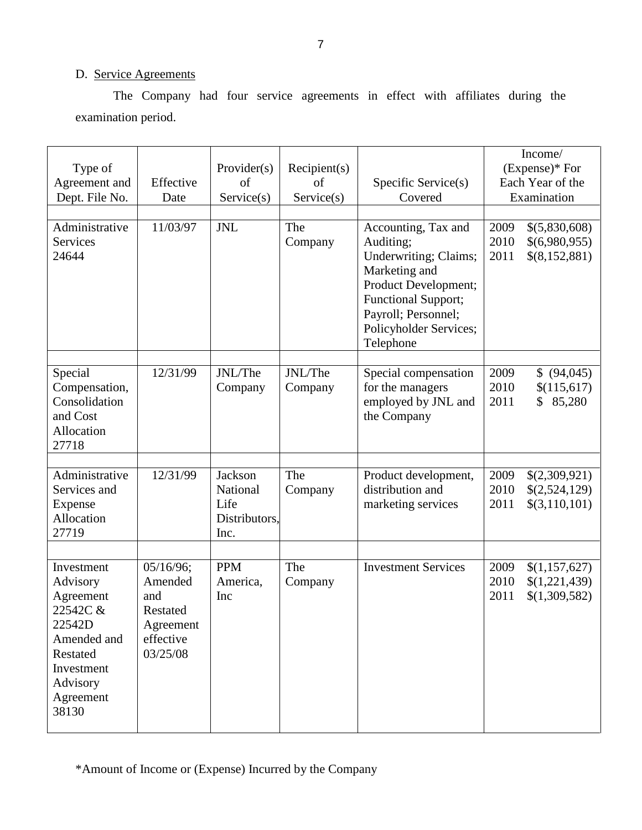## D. Service Agreements

The Company had four service agreements in effect with affiliates during the examination period.

| Type of<br>Agreement and<br>Dept. File No.<br>Administrative<br><b>Services</b><br>24644                                             | Effective<br>Date<br>11/03/97                                                 | Provider(s)<br>of<br>Service(s)<br><b>JNL</b>        | Recipient(s)<br>of<br>Service(s)<br>The<br>Company | Specific Service(s)<br>Covered<br>Accounting, Tax and<br>Auditing;<br>Underwriting; Claims;<br>Marketing and<br>Product Development;<br><b>Functional Support;</b><br>Payroll; Personnel; | 2009<br>2010<br>2011 | Income/<br>(Expense)* For<br>Each Year of the<br>Examination<br>\$(5,830,608)<br>\$(6,980,955)<br>\$(8,152,881) |
|--------------------------------------------------------------------------------------------------------------------------------------|-------------------------------------------------------------------------------|------------------------------------------------------|----------------------------------------------------|-------------------------------------------------------------------------------------------------------------------------------------------------------------------------------------------|----------------------|-----------------------------------------------------------------------------------------------------------------|
|                                                                                                                                      |                                                                               |                                                      |                                                    | Policyholder Services;<br>Telephone                                                                                                                                                       |                      |                                                                                                                 |
| Special<br>Compensation,<br>Consolidation<br>and Cost<br>Allocation<br>27718                                                         | $\frac{12}{31/99}$                                                            | JNL/The<br>Company                                   | JNL/The<br>Company                                 | Special compensation<br>for the managers<br>employed by JNL and<br>the Company                                                                                                            | 2009<br>2010<br>2011 | \$ (94,045)<br>\$(115,617)<br>85,280<br>$\mathbb{S}^-$                                                          |
| Administrative<br>Services and<br>Expense<br>Allocation<br>27719                                                                     | 12/31/99                                                                      | Jackson<br>National<br>Life<br>Distributors,<br>Inc. | The<br>Company                                     | Product development,<br>distribution and<br>marketing services                                                                                                                            | 2009<br>2010<br>2011 | \$(2,309,921)<br>\$(2,524,129)<br>\$(3,110,101)                                                                 |
| Investment<br>Advisory<br>Agreement<br>22542C &<br>22542D<br>Amended and<br>Restated<br>Investment<br>Advisory<br>Agreement<br>38130 | 05/16/96;<br>Amended<br>and<br>Restated<br>Agreement<br>effective<br>03/25/08 | <b>PPM</b><br>America,<br>Inc                        | The<br>Company                                     | <b>Investment Services</b>                                                                                                                                                                | 2009<br>2010<br>2011 | \$(1,157,627)<br>\$(1,221,439)<br>\$(1,309,582)                                                                 |

\*Amount of Income or (Expense) Incurred by the Company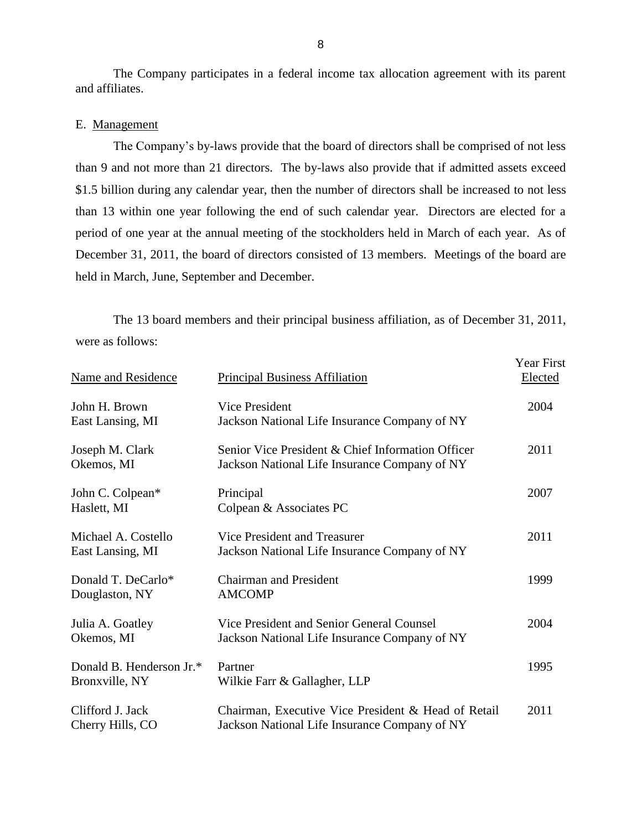The Company participates in a federal income tax allocation agreement with its parent and affiliates.

#### E. Management

The Company's by-laws provide that the board of directors shall be comprised of not less than 9 and not more than 21 directors. The by-laws also provide that if admitted assets exceed \$1.5 billion during any calendar year, then the number of directors shall be increased to not less than 13 within one year following the end of such calendar year. Directors are elected for a period of one year at the annual meeting of the stockholders held in March of each year. As of December 31, 2011, the board of directors consisted of 13 members. Meetings of the board are held in March, June, September and December.

 were as follows: The 13 board members and their principal business affiliation, as of December 31, 2011,

| Name and Residence                         | <b>Principal Business Affiliation</b>                                                                | <b>Year First</b><br>Elected |
|--------------------------------------------|------------------------------------------------------------------------------------------------------|------------------------------|
| John H. Brown<br>East Lansing, MI          | Vice President<br>Jackson National Life Insurance Company of NY                                      | 2004                         |
| Joseph M. Clark<br>Okemos, MI              | Senior Vice President & Chief Information Officer<br>Jackson National Life Insurance Company of NY   | 2011                         |
| John C. Colpean*<br>Haslett, MI            | Principal<br>Colpean & Associates PC                                                                 | 2007                         |
| Michael A. Costello<br>East Lansing, MI    | Vice President and Treasurer<br>Jackson National Life Insurance Company of NY                        | 2011                         |
| Donald T. DeCarlo*<br>Douglaston, NY       | <b>Chairman and President</b><br><b>AMCOMP</b>                                                       | 1999                         |
| Julia A. Goatley<br>Okemos, MI             | Vice President and Senior General Counsel<br>Jackson National Life Insurance Company of NY           | 2004                         |
| Donald B. Henderson Jr.*<br>Bronxville, NY | Partner<br>Wilkie Farr & Gallagher, LLP                                                              | 1995                         |
| Clifford J. Jack<br>Cherry Hills, CO       | Chairman, Executive Vice President & Head of Retail<br>Jackson National Life Insurance Company of NY | 2011                         |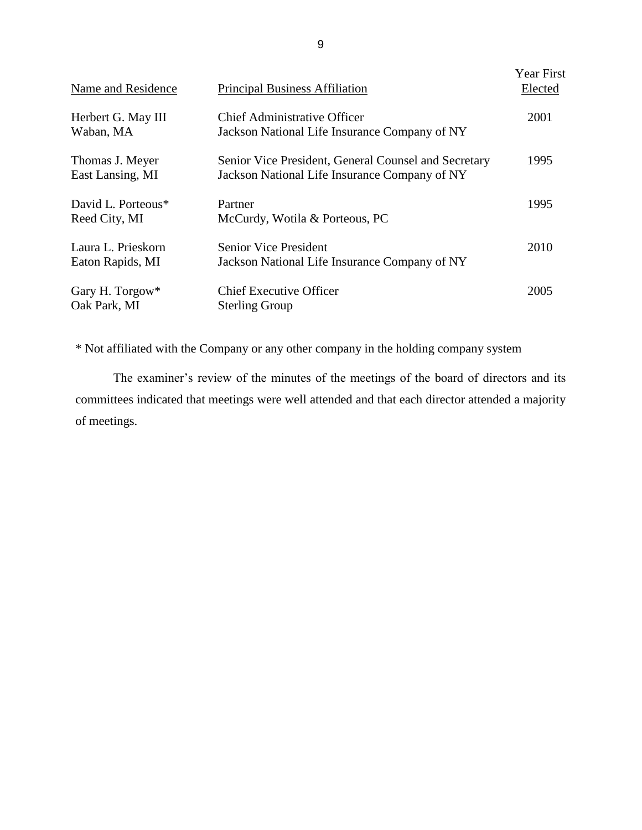| Name and Residence                     | <b>Principal Business Affiliation</b>                                                                 | Year First<br>Elected |
|----------------------------------------|-------------------------------------------------------------------------------------------------------|-----------------------|
| Herbert G. May III<br>Waban, MA        | <b>Chief Administrative Officer</b><br>Jackson National Life Insurance Company of NY                  | 2001                  |
| Thomas J. Meyer<br>East Lansing, MI    | Senior Vice President, General Counsel and Secretary<br>Jackson National Life Insurance Company of NY | 1995                  |
| David L. Porteous*<br>Reed City, MI    | Partner<br>McCurdy, Wotila & Porteous, PC                                                             | 1995                  |
| Laura L. Prieskorn<br>Eaton Rapids, MI | <b>Senior Vice President</b><br>Jackson National Life Insurance Company of NY                         | 2010                  |
| Gary H. Torgow*<br>Oak Park, MI        | <b>Chief Executive Officer</b><br><b>Sterling Group</b>                                               | 2005                  |

\* Not affiliated with the Company or any other company in the holding company system

The examiner's review of the minutes of the meetings of the board of directors and its committees indicated that meetings were well attended and that each director attended a majority of meetings.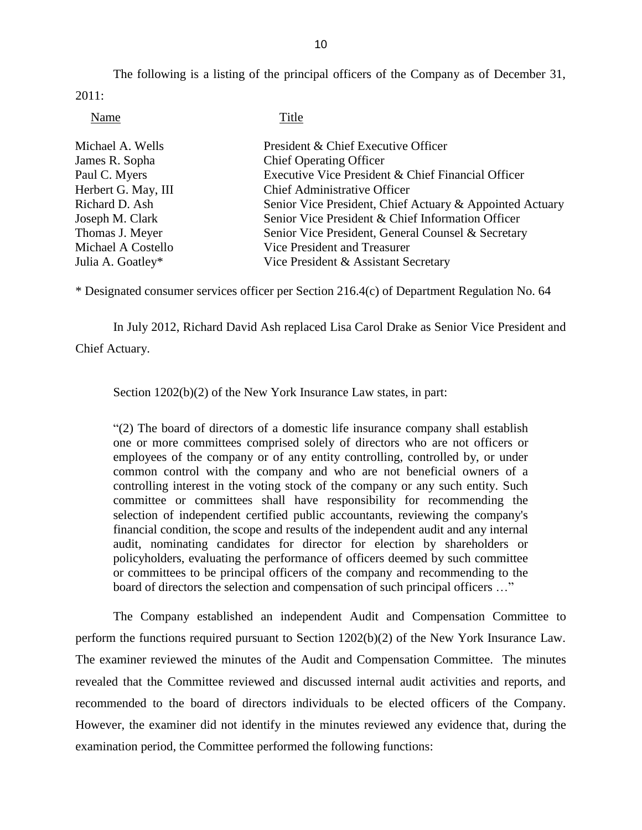The following is a listing of the principal officers of the Company as of December 31, 2011:

Name Title

| Michael A. Wells    | President & Chief Executive Officer                      |
|---------------------|----------------------------------------------------------|
| James R. Sopha      | <b>Chief Operating Officer</b>                           |
| Paul C. Myers       | Executive Vice President & Chief Financial Officer       |
| Herbert G. May, III | <b>Chief Administrative Officer</b>                      |
| Richard D. Ash      | Senior Vice President, Chief Actuary & Appointed Actuary |
| Joseph M. Clark     | Senior Vice President & Chief Information Officer        |
| Thomas J. Meyer     | Senior Vice President, General Counsel & Secretary       |
| Michael A Costello  | Vice President and Treasurer                             |
| Julia A. Goatley*   | Vice President & Assistant Secretary                     |

\* Designated consumer services officer per Section 216.4(c) of Department Regulation No. 64

In July 2012, Richard David Ash replaced Lisa Carol Drake as Senior Vice President and

Chief Actuary.

Section  $1202(b)(2)$  of the New York Insurance Law states, in part:

 "(2) The board of directors of a domestic life insurance company shall establish one or more committees comprised solely of directors who are not officers or employees of the company or of any entity controlling, controlled by, or under common control with the company and who are not beneficial owners of a controlling interest in the voting stock of the company or any such entity. Such committee or committees shall have responsibility for recommending the policyholders, evaluating the performance of officers deemed by such committee selection of independent certified public accountants, reviewing the company's financial condition, the scope and results of the independent audit and any internal audit, nominating candidates for director for election by shareholders or or committees to be principal officers of the company and recommending to the board of directors the selection and compensation of such principal officers ..."

 The Company established an independent Audit and Compensation Committee to perform the functions required pursuant to Section 1202(b)(2) of the New York Insurance Law. The examiner reviewed the minutes of the Audit and Compensation Committee. The minutes However, the examiner did not identify in the minutes reviewed any evidence that, during the examination period, the Committee performed the following functions: revealed that the Committee reviewed and discussed internal audit activities and reports, and recommended to the board of directors individuals to be elected officers of the Company.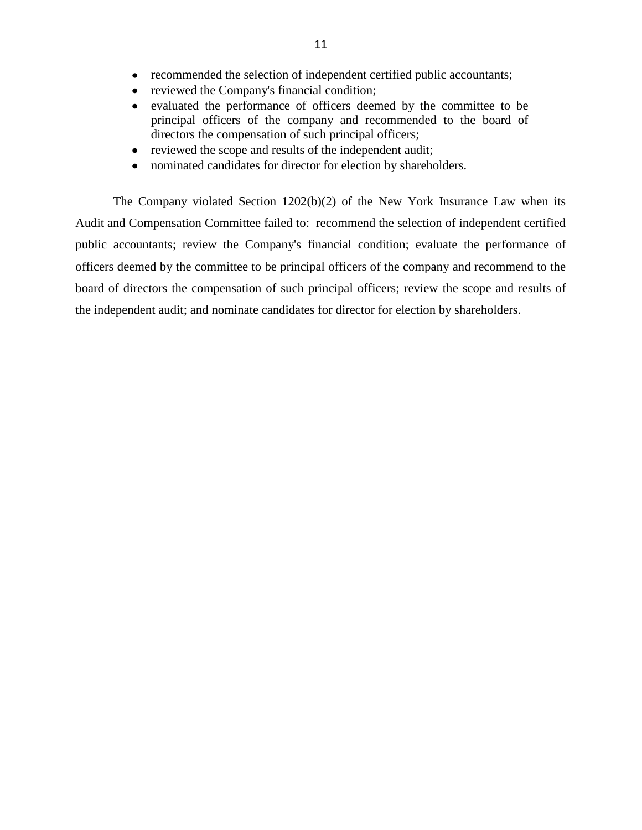- recommended the selection of independent certified public accountants;
- reviewed the Company's financial condition;  $\bullet$
- evaluated the performance of officers deemed by the committee to be  $\bullet$  principal officers of the company and recommended to the board of directors the compensation of such principal officers;
- reviewed the scope and results of the independent audit;  $\bullet$
- nominated candidates for director for election by shareholders.  $\bullet$

 The Company violated Section 1202(b)(2) of the New York Insurance Law when its Audit and Compensation Committee failed to: recommend the selection of independent certified public accountants; review the Company's financial condition; evaluate the performance of officers deemed by the committee to be principal officers of the company and recommend to the board of directors the compensation of such principal officers; review the scope and results of the independent audit; and nominate candidates for director for election by shareholders.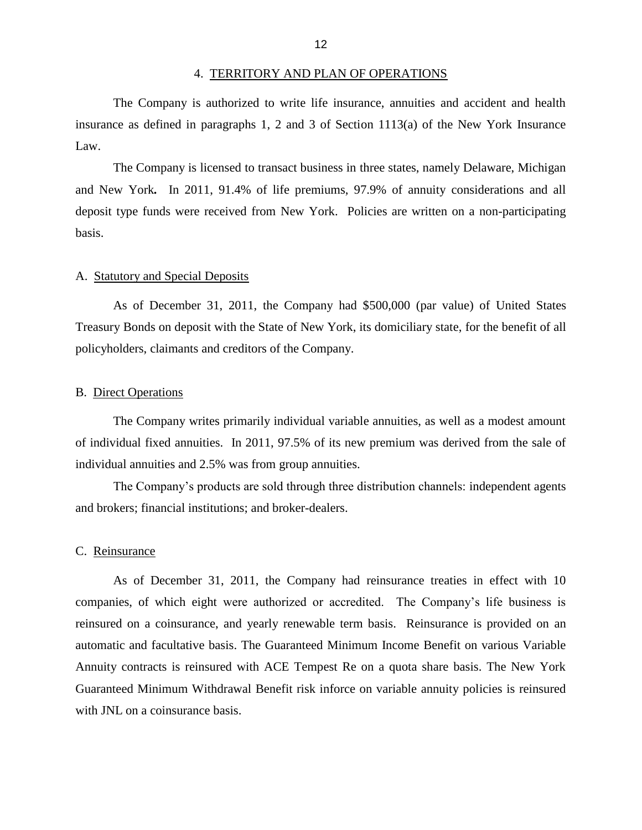#### 4. TERRITORY AND PLAN OF OPERATIONS

<span id="page-14-0"></span> insurance as defined in paragraphs 1, 2 and 3 of Section 1113(a) of the New York Insurance The Company is authorized to write life insurance, annuities and accident and health Law.

 and New York*.* In 2011, 91.4% of life premiums, 97.9% of annuity considerations and all deposit type funds were received from New York. Policies are written on a non-participating The Company is licensed to transact business in three states, namely Delaware, Michigan basis.

#### A. Statutory and Special Deposits

 As of December 31, 2011, the Company had \$500,000 (par value) of United States Treasury Bonds on deposit with the State of New York, its domiciliary state, for the benefit of all policyholders, claimants and creditors of the Company.

#### B. Direct Operations

 The Company writes primarily individual variable annuities, as well as a modest amount of individual fixed annuities. In 2011, 97.5% of its new premium was derived from the sale of individual annuities and 2.5% was from group annuities.

and brokers; financial institutions; and broker-dealers.<br>C. Reinsurance The Company"s products are sold through three distribution channels: independent agents

 companies, of which eight were authorized or accredited. The Company"s life business is reinsured on a coinsurance, and yearly renewable term basis. Reinsurance is provided on an automatic and facultative basis. The Guaranteed Minimum Income Benefit on various Variable Annuity contracts is reinsured with ACE Tempest Re on a quota share basis. The New York Guaranteed Minimum Withdrawal Benefit risk inforce on variable annuity policies is reinsured with JNL on a coinsurance basis. As of December 31, 2011, the Company had reinsurance treaties in effect with 10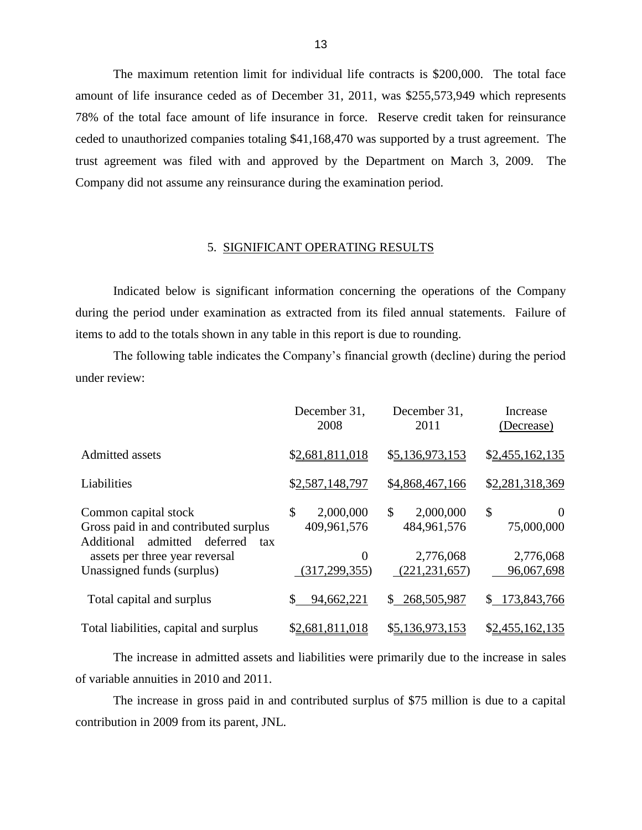amount of life insurance ceded as of December 31, 2011, was \$255,573,949 which represents 78% of the total face amount of life insurance in force. Reserve credit taken for reinsurance ceded to unauthorized companies totaling \$41,168,470 was supported by a trust agreement. The trust agreement was filed with and approved by the Department on March 3, 2009. The The maximum retention limit for individual life contracts is \$200,000. The total face Company did not assume any reinsurance during the examination period.

### 5. SIGNIFICANT OPERATING RESULTS

 during the period under examination as extracted from its filed annual statements. Failure of Indicated below is significant information concerning the operations of the Company items to add to the totals shown in any table in this report is due to rounding.

 The following table indicates the Company"s financial growth (decline) during the period under review:

|                                                                                                         | December 31,<br>2008                      | December 31,<br>2011           | Increase<br>(Decrease)       |
|---------------------------------------------------------------------------------------------------------|-------------------------------------------|--------------------------------|------------------------------|
| Admitted assets                                                                                         | \$2,681,811,018                           | \$5,136,973,153                | \$2,455,162,135              |
| Liabilities                                                                                             | \$2,587,148,797                           | \$4,868,467,166                | \$2,281,318,369              |
| Common capital stock<br>Gross paid in and contributed surplus<br>admitted deferred<br>Additional<br>tax | $\mathcal{S}$<br>2,000,000<br>409,961,576 | \$<br>2,000,000<br>484,961,576 | \$<br>$\Omega$<br>75,000,000 |
| assets per three year reversal<br>Unassigned funds (surplus)                                            | $\overline{0}$<br>(317, 299, 355)         | 2,776,068<br>(221, 231, 657)   | 2,776,068<br>96,067,698      |
| Total capital and surplus                                                                               | 94,662,221<br>\$                          | 268,505,987<br>$\mathbb{S}^-$  | 173,843,766<br>S.            |
| Total liabilities, capital and surplus                                                                  | \$2,681,811,018                           | \$5,136,973,153                | \$2,455,162,135              |

 The increase in admitted assets and liabilities were primarily due to the increase in sales of variable annuities in 2010 and 2011.

 The increase in gross paid in and contributed surplus of \$75 million is due to a capital contribution in 2009 from its parent, JNL.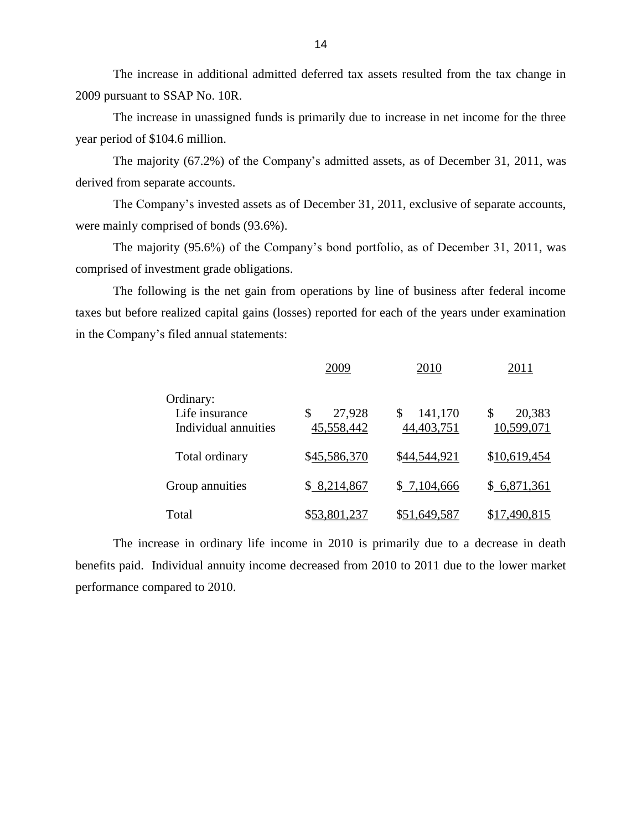The increase in additional admitted deferred tax assets resulted from the tax change in 2009 pursuant to SSAP No. 10R.

 The increase in unassigned funds is primarily due to increase in net income for the three year period of \$104.6 million.

The majority (67.2%) of the Company's admitted assets, as of December 31, 2011, was derived from separate accounts.

The Company's invested assets as of December 31, 2011, exclusive of separate accounts, were mainly comprised of bonds (93.6%).

The majority (95.6%) of the Company"s bond portfolio, as of December 31, 2011, was comprised of investment grade obligations.

 taxes but before realized capital gains (losses) reported for each of the years under examination The following is the net gain from operations by line of business after federal income in the Company"s filed annual statements:

|                                                     | 2009                       | 2010                  | 2011                       |
|-----------------------------------------------------|----------------------------|-----------------------|----------------------------|
| Ordinary:<br>Life insurance<br>Individual annuities | 27,928<br>\$<br>45,558,442 | 141,170<br>44,403,751 | 20,383<br>\$<br>10,599,071 |
| Total ordinary                                      | \$45,586,370               | \$44,544,921          | \$10,619,454               |
| Group annuities                                     | \$8,214,867                | \$7,104,666           | \$6,871,361                |
| Total                                               | \$53,801,237               | \$51,649,587          | \$17,490,815               |

 The increase in ordinary life income in 2010 is primarily due to a decrease in death benefits paid. Individual annuity income decreased from 2010 to 2011 due to the lower market performance compared to 2010.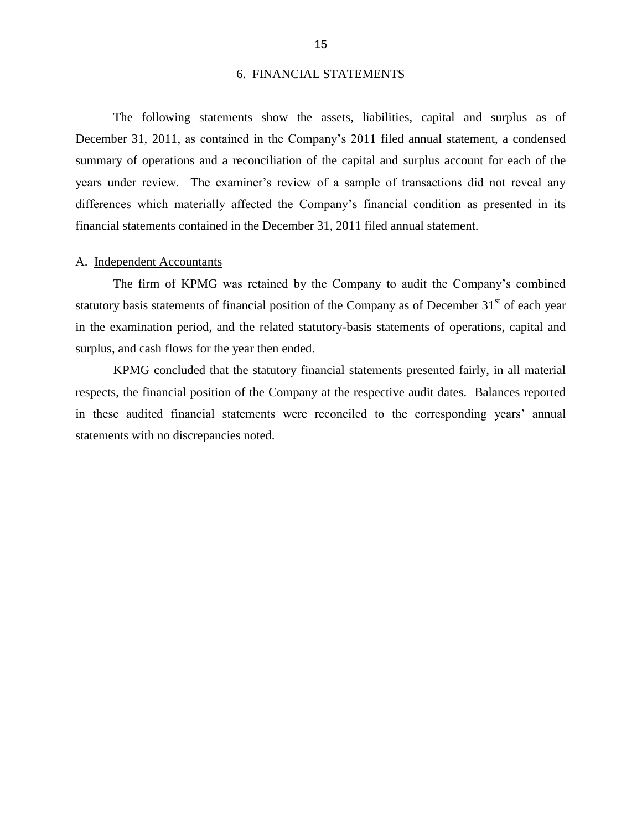#### 6. FINANCIAL STATEMENTS

<span id="page-17-0"></span>December 31, 2011, as contained in the Company's 2011 filed annual statement, a condensed summary of operations and a reconciliation of the capital and surplus account for each of the years under review. The examiner's review of a sample of transactions did not reveal any The following statements show the assets, liabilities, capital and surplus as of differences which materially affected the Company"s financial condition as presented in its financial statements contained in the December 31, 2011 filed annual statement.

#### A. Independent Accountants

statutory basis statements of financial position of the Company as of December  $31<sup>st</sup>$  of each year The firm of KPMG was retained by the Company to audit the Company"s combined in the examination period, and the related statutory-basis statements of operations, capital and surplus, and cash flows for the year then ended.

 KPMG concluded that the statutory financial statements presented fairly, in all material respects, the financial position of the Company at the respective audit dates. Balances reported in these audited financial statements were reconciled to the corresponding years' annual statements with no discrepancies noted.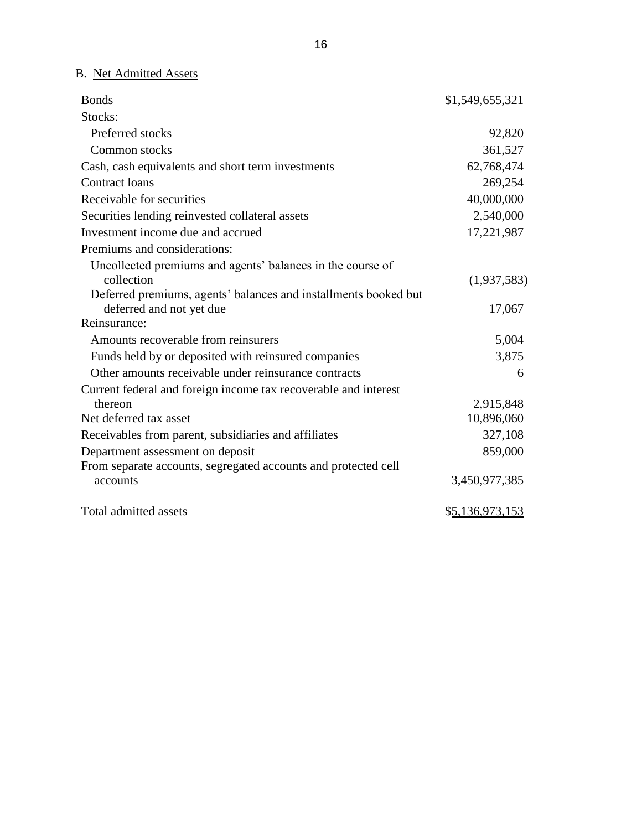B. Net Admitted Assets

| <b>Bonds</b>                                                    | \$1,549,655,321 |
|-----------------------------------------------------------------|-----------------|
| Stocks:                                                         |                 |
| Preferred stocks                                                | 92,820          |
| Common stocks                                                   | 361,527         |
| Cash, cash equivalents and short term investments               | 62,768,474      |
| <b>Contract loans</b>                                           | 269,254         |
| Receivable for securities                                       | 40,000,000      |
| Securities lending reinvested collateral assets                 | 2,540,000       |
| Investment income due and accrued                               | 17,221,987      |
| Premiums and considerations:                                    |                 |
| Uncollected premiums and agents' balances in the course of      |                 |
| collection                                                      | (1,937,583)     |
| Deferred premiums, agents' balances and installments booked but |                 |
| deferred and not yet due                                        | 17,067          |
| Reinsurance:                                                    |                 |
| Amounts recoverable from reinsurers                             | 5,004           |
| Funds held by or deposited with reinsured companies             | 3,875           |
| Other amounts receivable under reinsurance contracts            | 6               |
| Current federal and foreign income tax recoverable and interest |                 |
| thereon                                                         | 2,915,848       |
| Net deferred tax asset                                          | 10,896,060      |
| Receivables from parent, subsidiaries and affiliates            | 327,108         |
| Department assessment on deposit                                | 859,000         |
| From separate accounts, segregated accounts and protected cell  |                 |
| accounts                                                        | 3,450,977,385   |
| Total admitted assets                                           | \$5,136,973,153 |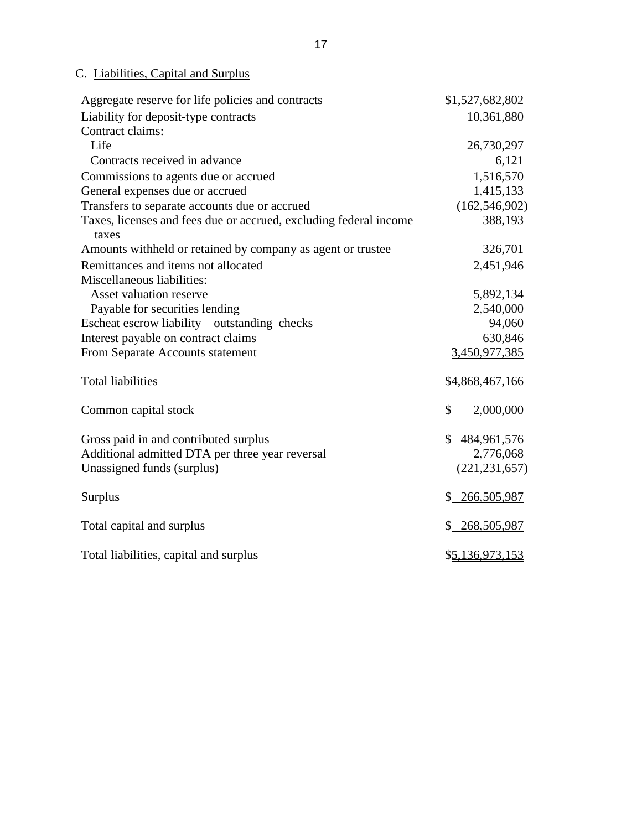## C. Liabilities, Capital and Surplus

| Aggregate reserve for life policies and contracts                                                                      | \$1,527,682,802                               |
|------------------------------------------------------------------------------------------------------------------------|-----------------------------------------------|
| Liability for deposit-type contracts                                                                                   | 10,361,880                                    |
| Contract claims:                                                                                                       |                                               |
| Life                                                                                                                   | 26,730,297                                    |
| Contracts received in advance                                                                                          | 6,121                                         |
| Commissions to agents due or accrued                                                                                   | 1,516,570                                     |
| General expenses due or accrued                                                                                        | 1,415,133                                     |
| Transfers to separate accounts due or accrued                                                                          | (162, 546, 902)                               |
| Taxes, licenses and fees due or accrued, excluding federal income<br>taxes                                             | 388,193                                       |
| Amounts withheld or retained by company as agent or trustee                                                            | 326,701                                       |
| Remittances and items not allocated                                                                                    | 2,451,946                                     |
| Miscellaneous liabilities:                                                                                             |                                               |
| Asset valuation reserve                                                                                                | 5,892,134                                     |
| Payable for securities lending                                                                                         | 2,540,000                                     |
| Escheat escrow liability – outstanding checks                                                                          | 94,060                                        |
| Interest payable on contract claims                                                                                    | 630,846                                       |
| From Separate Accounts statement                                                                                       | 3,450,977,385                                 |
| <b>Total liabilities</b>                                                                                               | \$4,868,467,166                               |
| Common capital stock                                                                                                   | \$<br>2,000,000                               |
| Gross paid in and contributed surplus<br>Additional admitted DTA per three year reversal<br>Unassigned funds (surplus) | \$484,961,576<br>2,776,068<br>(221, 231, 657) |
| Surplus                                                                                                                | \$ 266,505,987                                |
| Total capital and surplus                                                                                              | \$268,505,987                                 |
| Total liabilities, capital and surplus                                                                                 | \$5,136,973,153                               |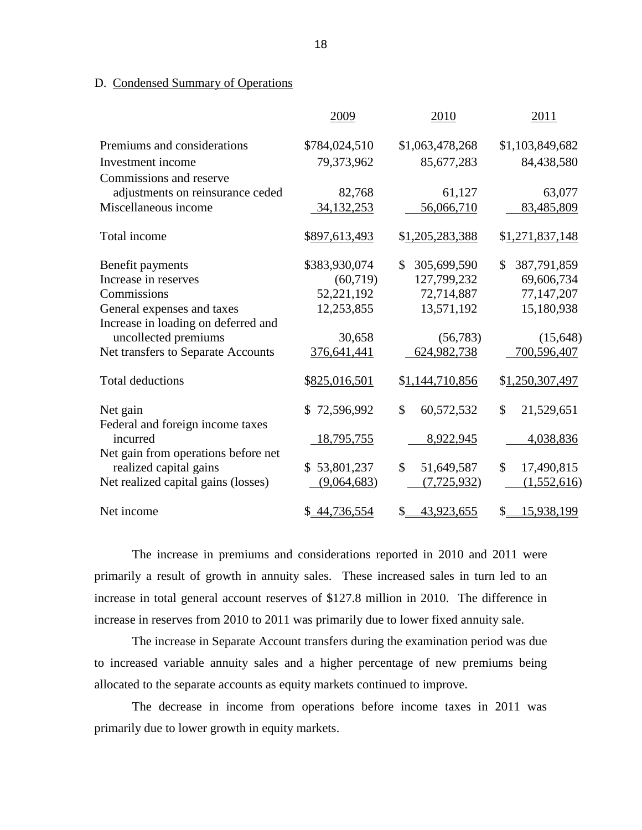## D. Condensed Summary of Operations

|                                              | 2009          | 2010              | 2011              |
|----------------------------------------------|---------------|-------------------|-------------------|
| Premiums and considerations                  | \$784,024,510 | \$1,063,478,268   | \$1,103,849,682   |
| Investment income                            | 79,373,962    | 85,677,283        | 84,438,580        |
| Commissions and reserve                      |               |                   |                   |
| adjustments on reinsurance ceded             | 82,768        | 61,127            | 63,077            |
| Miscellaneous income                         | 34, 132, 253  | 56,066,710        | 83,485,809        |
| Total income                                 | \$897,613,493 | \$1,205,283,388   | \$1,271,837,148   |
| Benefit payments                             | \$383,930,074 | 305,699,590<br>\$ | 387,791,859<br>\$ |
| Increase in reserves                         | (60, 719)     | 127,799,232       | 69,606,734        |
| Commissions                                  | 52,221,192    | 72,714,887        | 77,147,207        |
| General expenses and taxes                   | 12,253,855    | 13,571,192        | 15,180,938        |
| Increase in loading on deferred and          |               |                   |                   |
| uncollected premiums                         | 30,658        | (56, 783)         | (15, 648)         |
| Net transfers to Separate Accounts           | 376,641,441   | 624,982,738       | 700,596,407       |
| <b>Total deductions</b>                      | \$825,016,501 | \$1,144,710,856   | \$1,250,307,497   |
| Net gain                                     | \$72,596,992  | \$<br>60,572,532  | \$<br>21,529,651  |
| Federal and foreign income taxes<br>incurred | 18,795,755    | 8,922,945         | 4,038,836         |
| Net gain from operations before net          |               |                   |                   |
| realized capital gains                       | \$53,801,237  | \$<br>51,649,587  | \$<br>17,490,815  |
| Net realized capital gains (losses)          | (9,064,683)   | (7, 725, 932)     | (1,552,616)       |
| Net income                                   | \$ 44,736,554 | \$<br>43,923,655  | \$<br>15,938,199  |

 The increase in premiums and considerations reported in 2010 and 2011 were primarily a result of growth in annuity sales. These increased sales in turn led to an increase in total general account reserves of \$127.8 million in 2010. The difference in increase in reserves from 2010 to 2011 was primarily due to lower fixed annuity sale.

 The increase in Separate Account transfers during the examination period was due to increased variable annuity sales and a higher percentage of new premiums being allocated to the separate accounts as equity markets continued to improve.

 The decrease in income from operations before income taxes in 2011 was primarily due to lower growth in equity markets.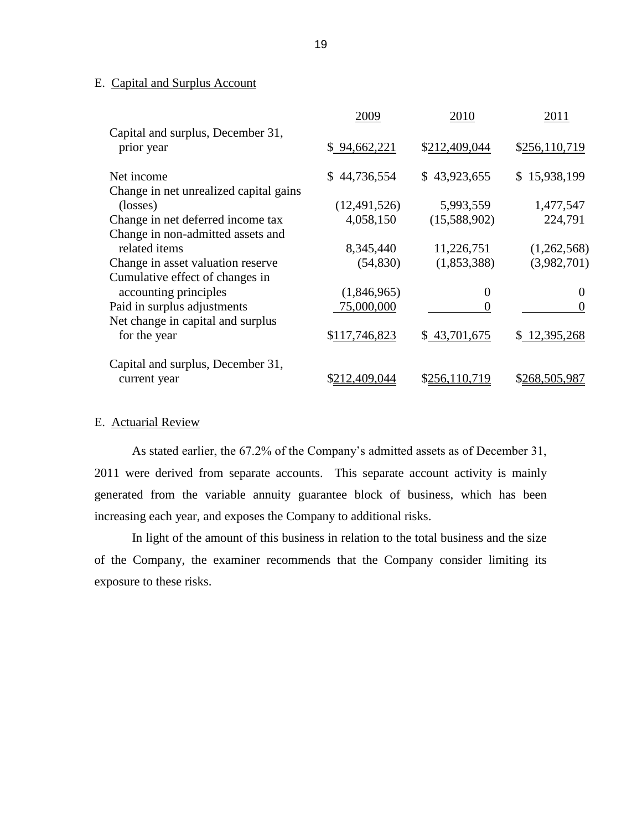#### <span id="page-21-0"></span>E. Capital and Surplus Account

|                                        | 2009           | 2010             | 2011          |
|----------------------------------------|----------------|------------------|---------------|
| Capital and surplus, December 31,      |                |                  |               |
| prior year                             | \$94,662,221   | \$212,409,044    | \$256,110,719 |
| Net income                             | \$44,736,554   | \$43,923,655     | \$15,938,199  |
| Change in net unrealized capital gains |                |                  |               |
| (losses)                               | (12, 491, 526) | 5,993,559        | 1,477,547     |
| Change in net deferred income tax      | 4,058,150      | (15,588,902)     | 224,791       |
| Change in non-admitted assets and      |                |                  |               |
| related items                          | 8,345,440      | 11,226,751       | (1,262,568)   |
| Change in asset valuation reserve      | (54, 830)      | (1,853,388)      | (3,982,701)   |
| Cumulative effect of changes in        |                |                  |               |
| accounting principles                  | (1,846,965)    | $\boldsymbol{0}$ | $\theta$      |
| Paid in surplus adjustments            | 75,000,000     | 0                | $\theta$      |
| Net change in capital and surplus      |                |                  |               |
| for the year                           | \$117,746,823  | \$43,701,675     | \$12,395,268  |
| Capital and surplus, December 31,      |                |                  |               |
| current year                           | \$212,409,044  | \$256,110,719    | \$268,505,987 |

## E. Actuarial Review

 As stated earlier, the 67.2% of the Company"s admitted assets as of December 31, 2011 were derived from separate accounts. This separate account activity is mainly generated from the variable annuity guarantee block of business, which has been increasing each year, and exposes the Company to additional risks.

 In light of the amount of this business in relation to the total business and the size of the Company, the examiner recommends that the Company consider limiting its exposure to these risks.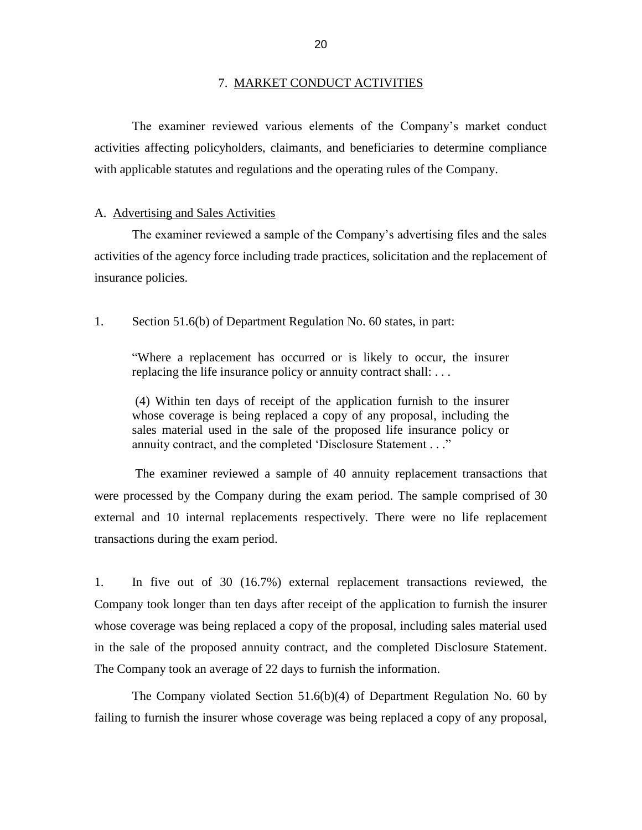<span id="page-22-0"></span>7. MARKET CONDUCT ACTIVITIES<br>The examiner reviewed various elements of the Company's market conduct activities affecting policyholders, claimants, and beneficiaries to determine compliance with applicable statutes and regulations and the operating rules of the Company.

#### A. Advertising and Sales Activities

 The examiner reviewed a sample of the Company"s advertising files and the sales activities of the agency force including trade practices, solicitation and the replacement of insurance policies.

1. Section 51.6(b) of Department Regulation No. 60 states, in part:

 "Where a replacement has occurred or is likely to occur, the insurer replacing the life insurance policy or annuity contract shall: . . .

 (4) Within ten days of receipt of the application furnish to the insurer whose coverage is being replaced a copy of any proposal, including the sales material used in the sale of the proposed life insurance policy or annuity contract, and the completed "Disclosure Statement . . ."

 The examiner reviewed a sample of 40 annuity replacement transactions that were processed by the Company during the exam period. The sample comprised of 30 external and 10 internal replacements respectively. There were no life replacement transactions during the exam period.

 $1.$  Company took longer than ten days after receipt of the application to furnish the insurer whose coverage was being replaced a copy of the proposal, including sales material used in the sale of the proposed annuity contract, and the completed Disclosure Statement. In five out of 30 (16.7%) external replacement transactions reviewed, the The Company took an average of 22 days to furnish the information.

 The Company violated Section 51.6(b)(4) of Department Regulation No. 60 by failing to furnish the insurer whose coverage was being replaced a copy of any proposal,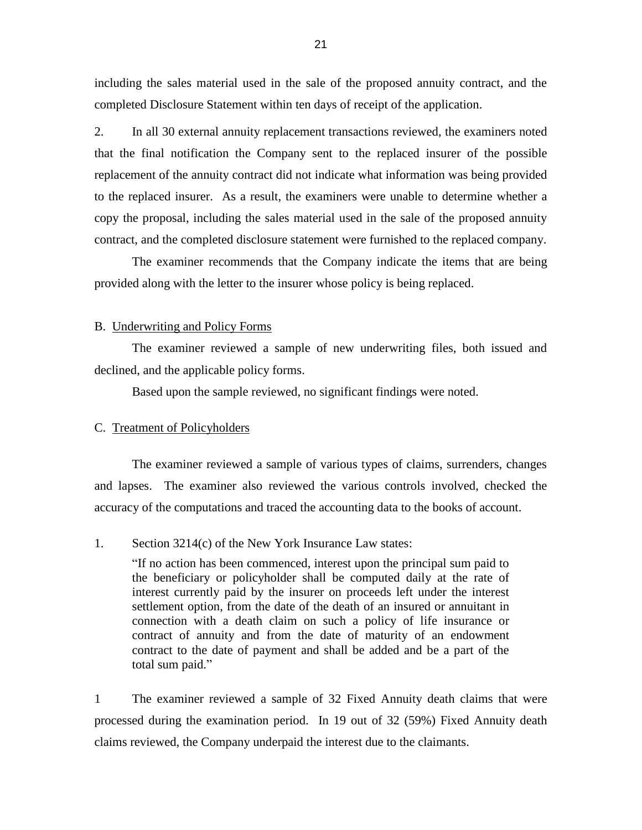<span id="page-23-0"></span> including the sales material used in the sale of the proposed annuity contract, and the completed Disclosure Statement within ten days of receipt of the application.

2. that the final notification the Company sent to the replaced insurer of the possible replacement of the annuity contract did not indicate what information was being provided to the replaced insurer. As a result, the examiners were unable to determine whether a copy the proposal, including the sales material used in the sale of the proposed annuity In all 30 external annuity replacement transactions reviewed, the examiners noted contract, and the completed disclosure statement were furnished to the replaced company.

 The examiner recommends that the Company indicate the items that are being provided along with the letter to the insurer whose policy is being replaced.

#### B. Underwriting and Policy Forms

The examiner reviewed a sample of new underwriting files, both issued and declined, and the applicable policy forms.

Based upon the sample reviewed, no significant findings were noted.

#### C. Treatment of Policyholders

 and lapses. The examiner also reviewed the various controls involved, checked the The examiner reviewed a sample of various types of claims, surrenders, changes accuracy of the computations and traced the accounting data to the books of account.

#### 1. Section 3214(c) of the New York Insurance Law states:

 the beneficiary or policyholder shall be computed daily at the rate of interest currently paid by the insurer on proceeds left under the interest settlement option, from the date of the death of an insured or annuitant in connection with a death claim on such a policy of life insurance or contract of annuity and from the date of maturity of an endowment contract to the date of payment and shall be added and be a part of the "If no action has been commenced, interest upon the principal sum paid to total sum paid."

 1 processed during the examination period. In 19 out of 32 (59%) Fixed Annuity death The examiner reviewed a sample of 32 Fixed Annuity death claims that were claims reviewed, the Company underpaid the interest due to the claimants.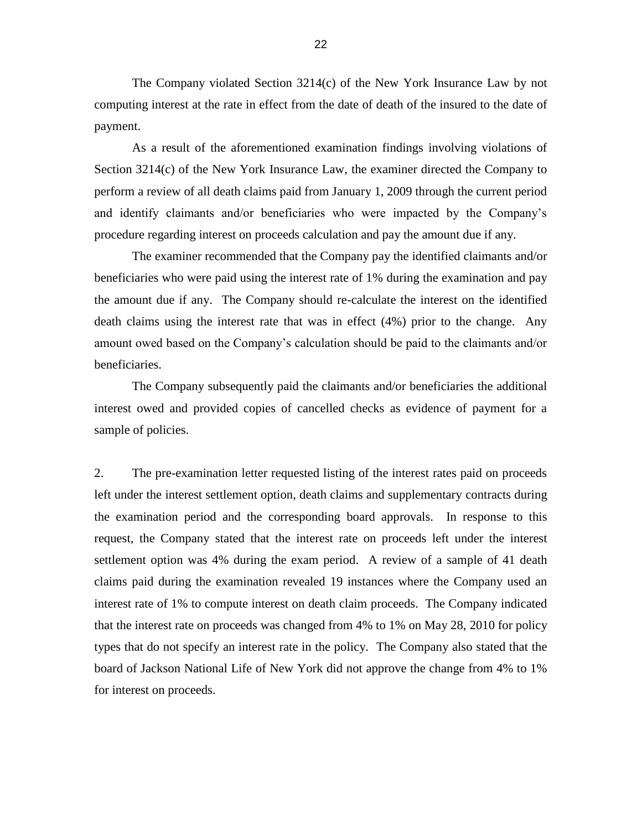The Company violated Section 3214(c) of the New York Insurance Law by not computing interest at the rate in effect from the date of death of the insured to the date of payment.

 As a result of the aforementioned examination findings involving violations of Section 3214(c) of the New York Insurance Law, the examiner directed the Company to and identify claimants and/or beneficiaries who were impacted by the Company"s perform a review of all death claims paid from January 1, 2009 through the current period procedure regarding interest on proceeds calculation and pay the amount due if any.

 The examiner recommended that the Company pay the identified claimants and/or beneficiaries who were paid using the interest rate of 1% during the examination and pay the amount due if any. The Company should re-calculate the interest on the identified death claims using the interest rate that was in effect (4%) prior to the change. Any amount owed based on the Company"s calculation should be paid to the claimants and/or beneficiaries.

 interest owed and provided copies of cancelled checks as evidence of payment for a The Company subsequently paid the claimants and/or beneficiaries the additional sample of policies.

 $\overline{2}$ . the examination period and the corresponding board approvals. In response to this settlement option was 4% during the exam period. A review of a sample of 41 death claims paid during the examination revealed 19 instances where the Company used an interest rate of 1% to compute interest on death claim proceeds. The Company indicated that the interest rate on proceeds was changed from 4% to 1% on May 28, 2010 for policy types that do not specify an interest rate in the policy. The Company also stated that the board of Jackson National Life of New York did not approve the change from 4% to 1% The pre-examination letter requested listing of the interest rates paid on proceeds left under the interest settlement option, death claims and supplementary contracts during request, the Company stated that the interest rate on proceeds left under the interest for interest on proceeds.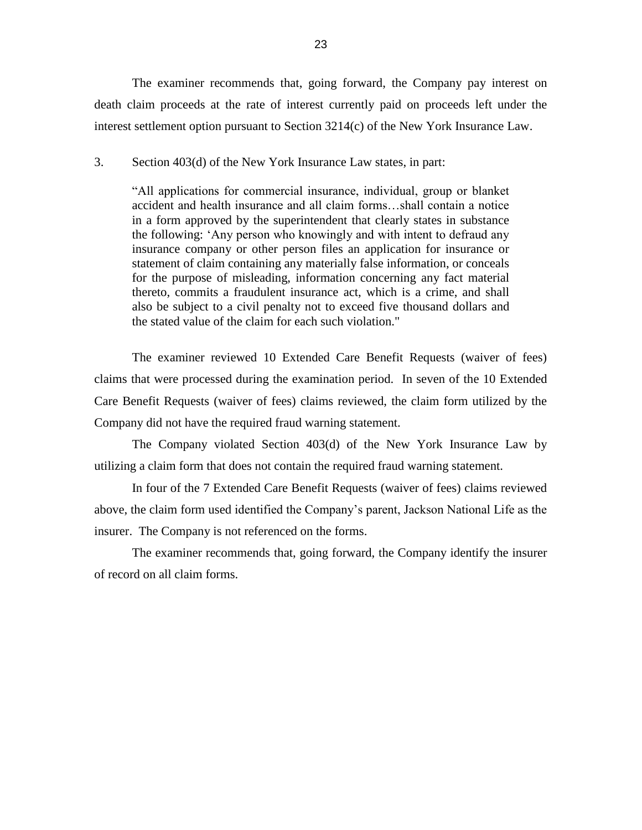The examiner recommends that, going forward, the Company pay interest on death claim proceeds at the rate of interest currently paid on proceeds left under the interest settlement option pursuant to Section 3214(c) of the New York Insurance Law.

#### 3. Section 403(d) of the New York Insurance Law states, in part:

 "All applications for commercial insurance, individual, group or blanket accident and health insurance and all claim forms…shall contain a notice in a form approved by the superintendent that clearly states in substance the following: "Any person who knowingly and with intent to defraud any insurance company or other person files an application for insurance or for the purpose of misleading, information concerning any fact material thereto, commits a fraudulent insurance act, which is a crime, and shall also be subject to a civil penalty not to exceed five thousand dollars and statement of claim containing any materially false information, or conceals the stated value of the claim for each such violation."

 claims that were processed during the examination period. In seven of the 10 Extended Care Benefit Requests (waiver of fees) claims reviewed, the claim form utilized by the Company did not have the required fraud warning statement. The examiner reviewed 10 Extended Care Benefit Requests (waiver of fees)

 The Company violated Section 403(d) of the New York Insurance Law by utilizing a claim form that does not contain the required fraud warning statement.

 In four of the 7 Extended Care Benefit Requests (waiver of fees) claims reviewed above, the claim form used identified the Company"s parent, Jackson National Life as the insurer. The Company is not referenced on the forms.

 The examiner recommends that, going forward, the Company identify the insurer of record on all claim forms.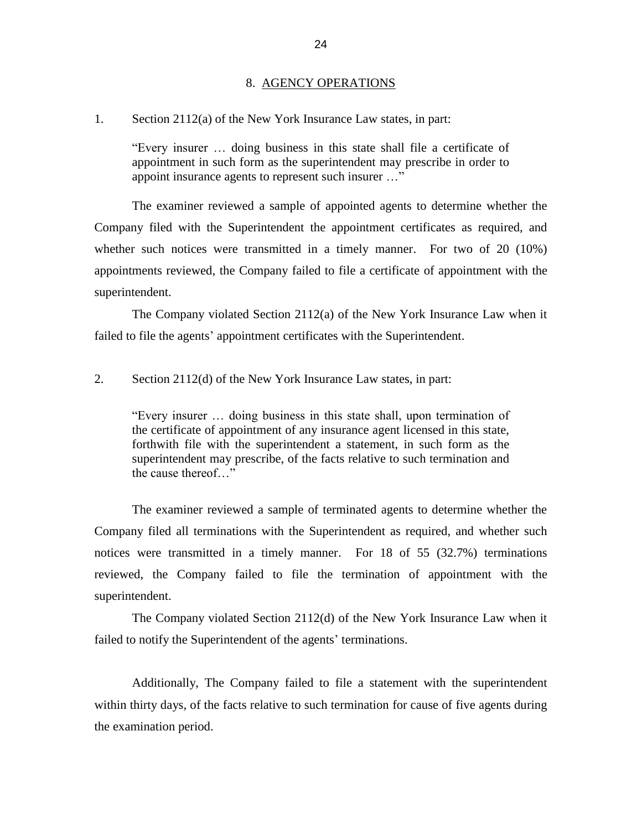#### 8. AGENCY OPERATIONS

<span id="page-26-0"></span>1. Section 2112(a) of the New York Insurance Law states, in part:

 "Every insurer … doing business in this state shall file a certificate of appointment in such form as the superintendent may prescribe in order to appoint insurance agents to represent such insurer …"

 The examiner reviewed a sample of appointed agents to determine whether the Company filed with the Superintendent the appointment certificates as required, and whether such notices were transmitted in a timely manner. For two of 20 (10%) appointments reviewed, the Company failed to file a certificate of appointment with the superintendent.

 The Company violated Section 2112(a) of the New York Insurance Law when it failed to file the agents' appointment certificates with the Superintendent.

2. Section 2112(d) of the New York Insurance Law states, in part:

 the certificate of appointment of any insurance agent licensed in this state, "Every insurer … doing business in this state shall, upon termination of forthwith file with the superintendent a statement, in such form as the superintendent may prescribe, of the facts relative to such termination and the cause thereof…"

 Company filed all terminations with the Superintendent as required, and whether such notices were transmitted in a timely manner. For 18 of 55 (32.7%) terminations reviewed, the Company failed to file the termination of appointment with the The examiner reviewed a sample of terminated agents to determine whether the superintendent.

 The Company violated Section 2112(d) of the New York Insurance Law when it failed to notify the Superintendent of the agents' terminations. Failed to notify the Superintendent of the agents' terminations.<br>Additionally, The Company failed to file a statement with the superintendent

 within thirty days, of the facts relative to such termination for cause of five agents during the examination period.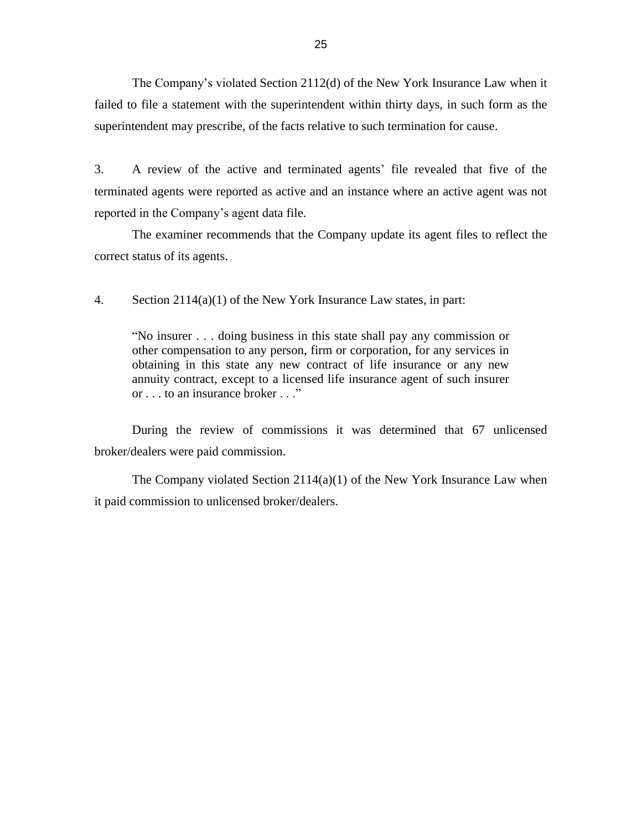The Company"s violated Section 2112(d) of the New York Insurance Law when it failed to file a statement with the superintendent within thirty days, in such form as the superintendent may prescribe, of the facts relative to such termination for cause.

 3. A review of the active and terminated agents" file revealed that five of the terminated agents were reported as active and an instance where an active agent was not reported in the Company's agent data file.

The examiner recommends that the Company update its agent files to reflect the correct status of its agents.

4. Section 2114(a)(1) of the New York Insurance Law states, in part:

 "No insurer . . . doing business in this state shall pay any commission or other compensation to any person, firm or corporation, for any services in obtaining in this state any new contract of life insurance or any new annuity contract, except to a licensed life insurance agent of such insurer or . . . to an insurance broker . . ."

 During the review of commissions it was determined that 67 unlicensed broker/dealers were paid commission.

broker/dealers were paid commission.<br>The Company violated Section 2114(a)(1) of the New York Insurance Law when it paid commission to unlicensed broker/dealers.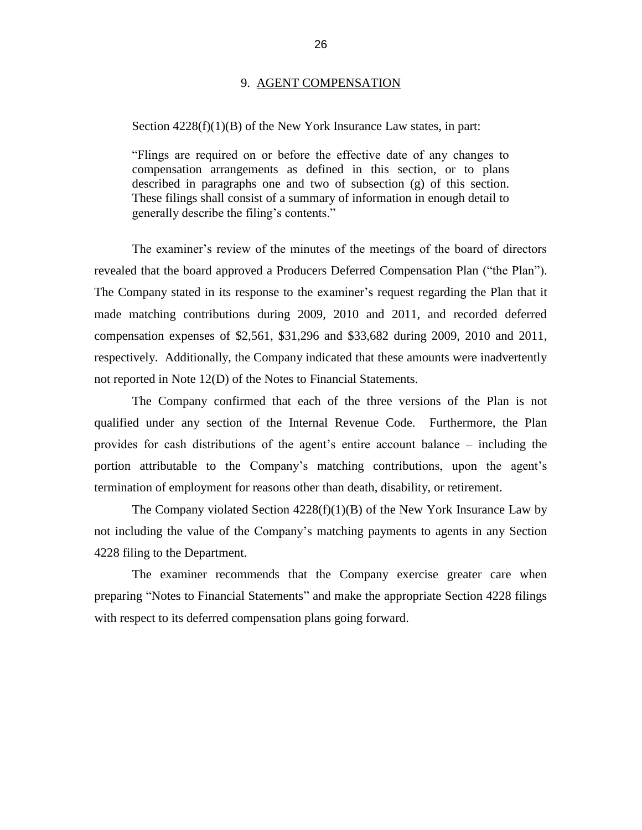#### 9. AGENT COMPENSATION

#### <span id="page-28-0"></span>Section  $4228(f)(1)(B)$  of the New York Insurance Law states, in part:

 "Flings are required on or before the effective date of any changes to described in paragraphs one and two of subsection (g) of this section. These filings shall consist of a summary of information in enough detail to compensation arrangements as defined in this section, or to plans generally describe the filing"s contents."

The examiner's review of the minutes of the meetings of the board of directors The Company stated in its response to the examiner's request regarding the Plan that it made matching contributions during 2009, 2010 and 2011, and recorded deferred compensation expenses of \$2,561, \$31,296 and \$33,682 during 2009, 2010 and 2011, revealed that the board approved a Producers Deferred Compensation Plan ("the Plan"). respectively. Additionally, the Company indicated that these amounts were inadvertently not reported in Note 12(D) of the Notes to Financial Statements.

 The Company confirmed that each of the three versions of the Plan is not qualified under any section of the Internal Revenue Code. Furthermore, the Plan provides for cash distributions of the agent's entire account balance – including the portion attributable to the Company's matching contributions, upon the agent's termination of employment for reasons other than death, disability, or retirement.

The Company violated Section  $4228(f)(1)(B)$  of the New York Insurance Law by not including the value of the Company"s matching payments to agents in any Section 4228 filing to the Department.

 The examiner recommends that the Company exercise greater care when preparing "Notes to Financial Statements" and make the appropriate Section 4228 filings with respect to its deferred compensation plans going forward.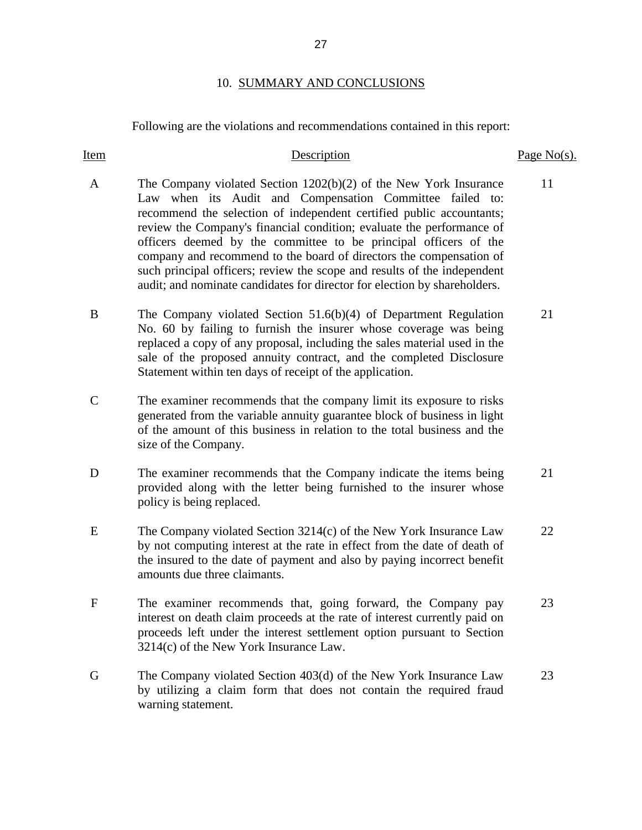## 10. SUMMARY AND CONCLUSIONS

Following are the violations and recommendations contained in this report:

| <b>Item</b>   | Description                                                                                                                                                                                                                                                                                                                                                                                                                                                                                                                                                                          | Page $No(s)$ . |
|---------------|--------------------------------------------------------------------------------------------------------------------------------------------------------------------------------------------------------------------------------------------------------------------------------------------------------------------------------------------------------------------------------------------------------------------------------------------------------------------------------------------------------------------------------------------------------------------------------------|----------------|
| A             | The Company violated Section $1202(b)(2)$ of the New York Insurance<br>Law when its Audit and Compensation Committee failed to:<br>recommend the selection of independent certified public accountants;<br>review the Company's financial condition; evaluate the performance of<br>officers deemed by the committee to be principal officers of the<br>company and recommend to the board of directors the compensation of<br>such principal officers; review the scope and results of the independent<br>audit; and nominate candidates for director for election by shareholders. | 11             |
| B             | The Company violated Section $51.6(b)(4)$ of Department Regulation<br>No. 60 by failing to furnish the insurer whose coverage was being<br>replaced a copy of any proposal, including the sales material used in the<br>sale of the proposed annuity contract, and the completed Disclosure<br>Statement within ten days of receipt of the application.                                                                                                                                                                                                                              | 21             |
| $\mathcal{C}$ | The examiner recommends that the company limit its exposure to risks<br>generated from the variable annuity guarantee block of business in light<br>of the amount of this business in relation to the total business and the<br>size of the Company.                                                                                                                                                                                                                                                                                                                                 |                |
| D             | The examiner recommends that the Company indicate the items being<br>provided along with the letter being furnished to the insurer whose<br>policy is being replaced.                                                                                                                                                                                                                                                                                                                                                                                                                | 21             |
| E             | The Company violated Section $3214(c)$ of the New York Insurance Law<br>by not computing interest at the rate in effect from the date of death of<br>the insured to the date of payment and also by paying incorrect benefit<br>amounts due three claimants.                                                                                                                                                                                                                                                                                                                         | 22             |
| $\mathbf{F}$  | The examiner recommends that, going forward, the Company pay<br>interest on death claim proceeds at the rate of interest currently paid on<br>proceeds left under the interest settlement option pursuant to Section<br>3214(c) of the New York Insurance Law.                                                                                                                                                                                                                                                                                                                       | 23             |
| G             | The Company violated Section 403(d) of the New York Insurance Law<br>by utilizing a claim form that does not contain the required fraud<br>warning statement.                                                                                                                                                                                                                                                                                                                                                                                                                        | 23             |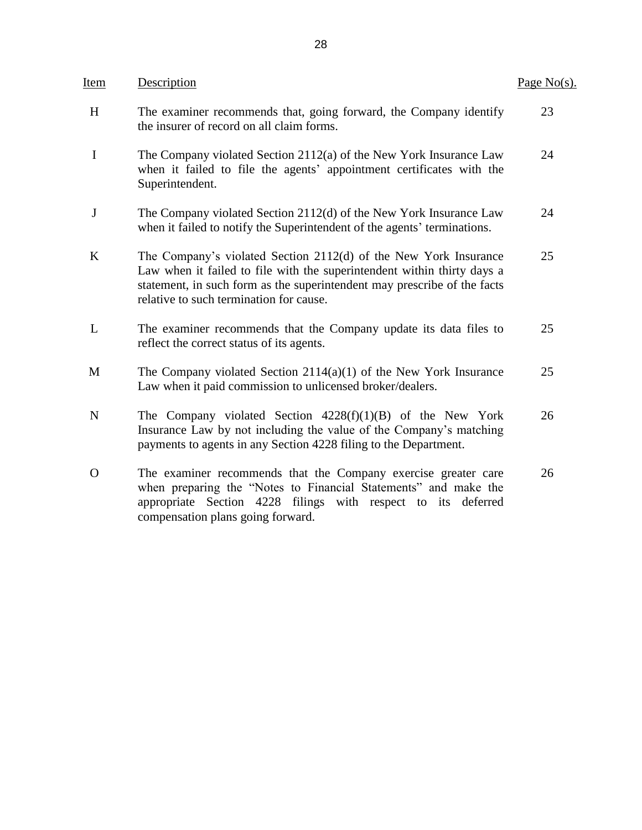| Item        | Description                                                                                                                                                                                                                                                        | Page $No(s)$ . |
|-------------|--------------------------------------------------------------------------------------------------------------------------------------------------------------------------------------------------------------------------------------------------------------------|----------------|
| H           | The examiner recommends that, going forward, the Company identify<br>the insurer of record on all claim forms.                                                                                                                                                     | 23             |
| $\mathbf I$ | The Company violated Section 2112(a) of the New York Insurance Law<br>when it failed to file the agents' appointment certificates with the<br>Superintendent.                                                                                                      | 24             |
| J           | The Company violated Section 2112(d) of the New York Insurance Law<br>when it failed to notify the Superintendent of the agents' terminations.                                                                                                                     | 24             |
| $\bf K$     | The Company's violated Section 2112(d) of the New York Insurance<br>Law when it failed to file with the superintendent within thirty days a<br>statement, in such form as the superintendent may prescribe of the facts<br>relative to such termination for cause. | 25             |
| L           | The examiner recommends that the Company update its data files to<br>reflect the correct status of its agents.                                                                                                                                                     | 25             |
| M           | The Company violated Section $2114(a)(1)$ of the New York Insurance<br>Law when it paid commission to unlicensed broker/dealers.                                                                                                                                   | 25             |
| $\mathbf N$ | The Company violated Section $4228(f)(1)(B)$ of the New York<br>Insurance Law by not including the value of the Company's matching<br>payments to agents in any Section 4228 filing to the Department.                                                             | 26             |
| $\Omega$    | The examiner recommends that the Company exercise greater care<br>when preparing the "Notes to Financial Statements" and make the<br>appropriate<br>Section 4228 filings<br>with respect to its deferred<br>compensation plans going forward.                      | 26             |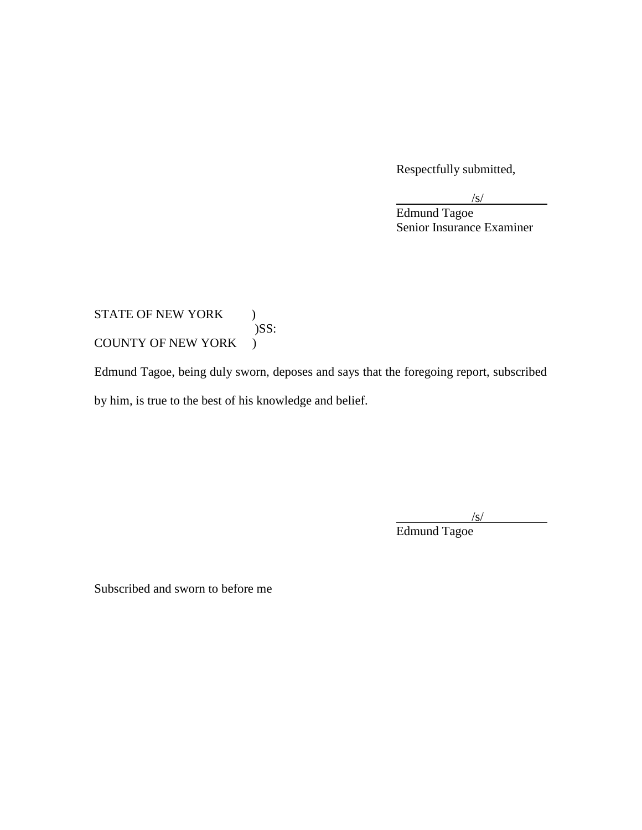Respectfully submitted,

Edmund Tagoe Senior Insurance Examiner

## STATE OF NEW YORK ) )SS: COUNTY OF NEW YORK )

 Edmund Tagoe, being duly sworn, deposes and says that the foregoing report, subscribed by him, is true to the best of his knowledge and belief.

 $\frac{|s|}{s}$ 

Edmund Tagoe

Subscribed and sworn to before me